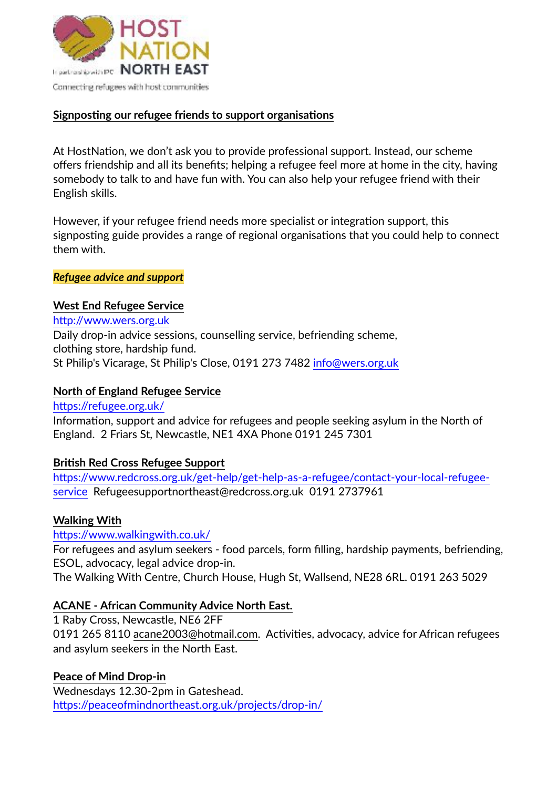

### **Signposting our refugee friends to support organisations**

At HostNation, we don't ask you to provide professional support. Instead, our scheme offers friendship and all its benefits; helping a refugee feel more at home in the city, having somebody to talk to and have fun with. You can also help your refugee friend with their English skills.

However, if your refugee friend needs more specialist or integration support, this signposting guide provides a range of regional organisations that you could help to connect them with.

*Refugee advice and support*

## **West End Refugee Service**

<http://www.wers.org.uk> Daily drop-in advice sessions, counselling service, befriending scheme, clothing store, hardship fund. St Philip's Vicarage, St Philip's Close, 0191 273 7482 [info@wers.org.uk](mailto:info@wers.org.uk)

## **North of England Refugee Service**

<https://refugee.org.uk/> Information, support and advice for refugees and people seeking asylum in the North of England. 2 Friars St, Newcastle, NE1 4XA Phone 0191 245 7301

# **British Red Cross Refugee Support**

[https://www.redcross.org.uk/get-help/get-help-as-a-refugee/contact-your-local-refugee](https://www.redcross.org.uk/get-help/get-help-as-a-refugee/contact-your-local-refugee-service)[service](https://www.redcross.org.uk/get-help/get-help-as-a-refugee/contact-your-local-refugee-service) Refugeesupportnortheast@redcross.org.uk 0191 2737961

# **Walking With**

### <https://www.walkingwith.co.uk/>

For refugees and asylum seekers - food parcels, form filling, hardship payments, befriending, ESOL, advocacy, legal advice drop-in.

The Walking With Centre, Church House, Hugh St, Wallsend, NE28 6RL. 0191 263 5029

# **ACANE - African Community Advice North East.**

1 Raby Cross, Newcastle, NE6 2FF 0191 265 8110 [acane2003@hotmail.com](mailto:acane2003@hotmail.com). Activities, advocacy, advice for African refugees and asylum seekers in the North East.

**Peace of Mind Drop-in**  Wednesdays 12.30-2pm in Gateshead. <https://peaceofmindnortheast.org.uk/projects/drop-in/>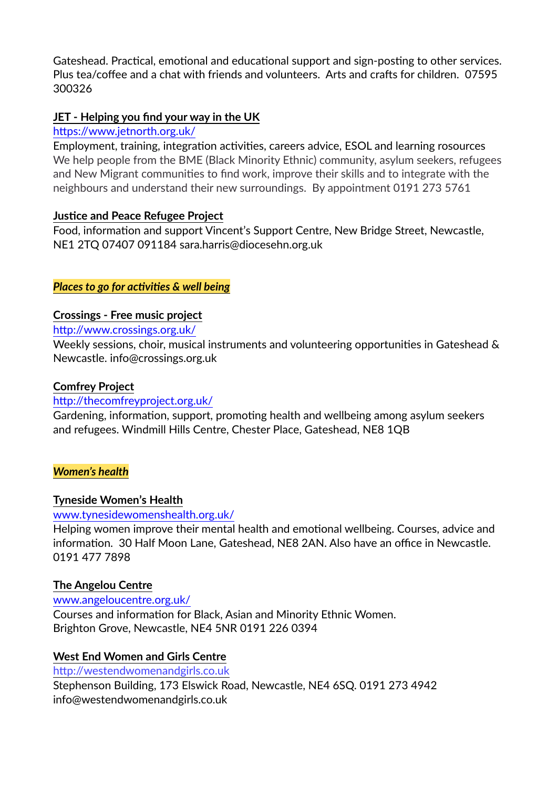Gateshead. Practical, emotional and educational support and sign-posting to other services. Plus tea/coffee and a chat with friends and volunteers. Arts and crafts for children. 07595 300326

## **JET - Helping you find your way in the UK**

#### <https://www.jetnorth.org.uk/>

Employment, training, integration activities, careers advice, ESOL and learning rosources We help people from the BME (Black Minority Ethnic) community, asylum seekers, refugees and New Migrant communities to find work, improve their skills and to integrate with the neighbours and understand their new surroundings. By appointment 0191 273 5761

### **Justice and Peace Refugee Project**

Food, information and support Vincent's Support Centre, New Bridge Street, Newcastle, NE1 2TQ 07407 091184 sara.harris@diocesehn.org.uk

### *Places to go for activities & well being*

### **Crossings - Free music project**

<http://www.crossings.org.uk/>

Weekly sessions, choir, musical instruments and volunteering opportunities in Gateshead & Newcastle. info@crossings.org.uk

### **Comfrey Project**

### <http://thecomfreyproject.org.uk/>

Gardening, information, support, promoting health and wellbeing among asylum seekers and refugees. Windmill Hills Centre, Chester Place, Gateshead, NE8 1QB

### *Women's health*

### **Tyneside Women's Health**

### [www.tynesidewomenshealth.org.uk/](http://www.tynesidewomenshealth.org.uk/)

Helping women improve their mental health and emotional wellbeing. Courses, advice and information. 30 Half Moon Lane, Gateshead, NE8 2AN. Also have an office in Newcastle. 0191 477 7898

### **The Angelou Centre**

[www.angeloucentre.org.uk/](http://www.angeloucentre.org.uk/) Courses and information for Black, Asian and Minority Ethnic Women. Brighton Grove, Newcastle, NE4 5NR 0191 226 0394

### **West End Women and Girls Centre**

<http://westendwomenandgirls.co.uk> Stephenson Building, 173 Elswick Road, Newcastle, NE4 6SQ. 0191 273 4942 info@westendwomenandgirls.co.uk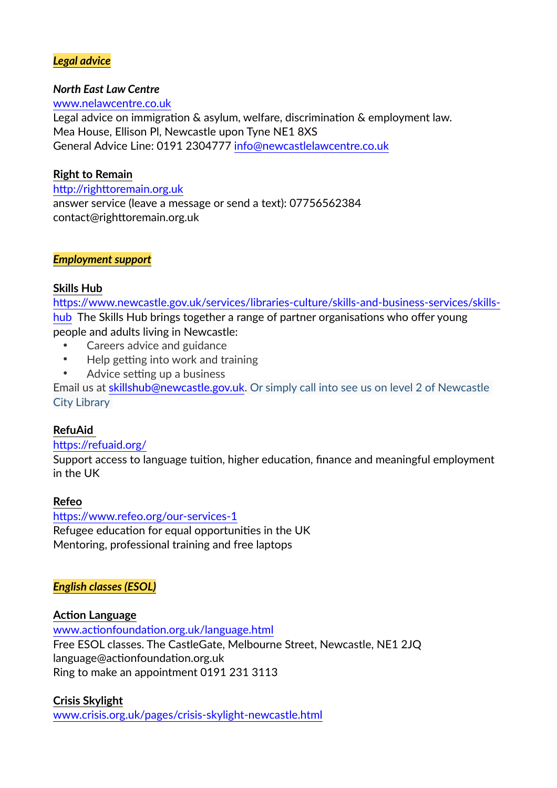## *Legal advice*

#### *North East Law Centre*

[www.nelawcentre.co.uk](http://www.nelawcentre.co.uk) Legal advice on immigration & asylum, welfare, discrimination & employment law. Mea House, Ellison Pl, Newcastle upon Tyne NE1 8XS General Advice Line: 0191 2304777 [info@newcastlelawcentre.co.uk](mailto:info@newcastlelawcentre.co.uk)

## **Right to Remain**

<http://righttoremain.org.uk> answer service (leave a message or send a text): 07756562384 contact@righttoremain.org.uk

### *Employment support*

### **Skills Hub**

[https://www.newcastle.gov.uk/services/libraries-culture/skills-and-business-services/skills](https://www.newcastle.gov.uk/services/libraries-culture/skills-and-business-services/skills-hub)[hub](https://www.newcastle.gov.uk/services/libraries-culture/skills-and-business-services/skills-hub) The Skills Hub brings together a range of partner organisations who offer young people and adults living in Newcastle:

- Careers advice and guidance
- Help getting into work and training
- Advice setting up a business

Email us at [skillshub@newcastle.gov.uk](mailto:skillshub@newcastle.gov.uk). Or simply call into see us on level 2 of Newcastle City Library

# **RefuAid**

### <https://refuaid.org/>

Support access to language tuition, higher education, finance and meaningful employment in the UK

### **Refeo**

<https://www.refeo.org/our-services-1> Refugee education for equal opportunities in the UK Mentoring, professional training and free laptops

# *English classes (ESOL)*

### **Action Language**

[www.actionfoundation.org.uk/language.html](http://www.actionfoundation.org.uk/language.html) Free ESOL classes. The CastleGate, Melbourne Street, Newcastle, NE1 2JQ language@actionfoundation.org.uk Ring to make an appointment 0191 231 3113

# **Crisis Skylight**

[www.crisis.org.uk/pages/crisis-skylight-newcastle.html](http://www.crisis.org.uk/pages/crisis-skylight-newcastle.html)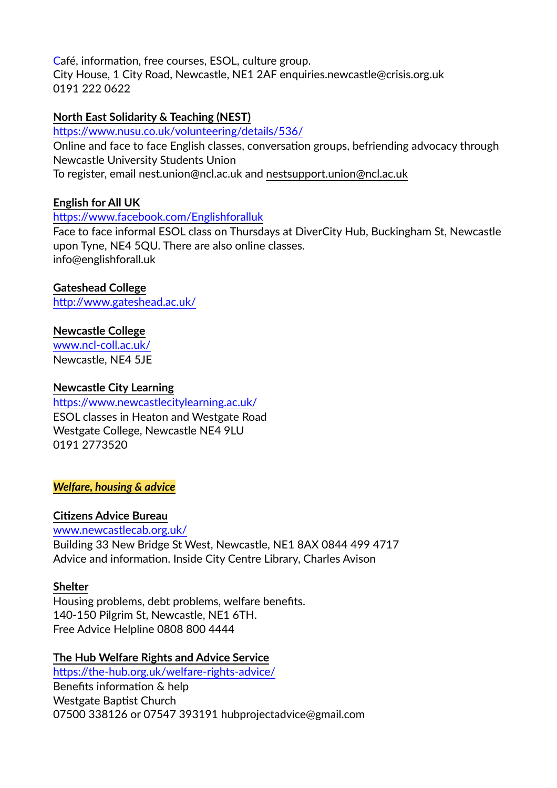Café, information, free courses, ESOL, culture group. City House, 1 City Road, Newcastle, NE1 2AF enquiries.newcastle@crisis.org.uk 0191 222 0622

## **North East Solidarity & Teaching (NEST)**

<https://www.nusu.co.uk/volunteering/details/536/>

Online and face to face English classes, conversation groups, befriending advocacy through Newcastle University Students Union

To register, email nest.union@ncl.ac.uk and [nestsupport.union@ncl.ac.uk](mailto:nestsupport.union@ncl.ac.uk)

## **English for All UK**

### <https://www.facebook.com/Englishforalluk>

Face to face informal ESOL class on Thursdays at DiverCity Hub, Buckingham St, Newcastle upon Tyne, NE4 5QU. There are also online classes. info@englishforall.uk

## **Gateshead College**

<http://www.gateshead.ac.uk/>

### **Newcastle College**

[www.ncl-coll.ac.uk/](http://www.ncl-coll.ac.uk/) Newcastle, NE4 5JE

## **Newcastle City Learning**

<https://www.newcastlecitylearning.ac.uk/> ESOL classes in Heaton and Westgate Road Westgate College, Newcastle NE4 9LU 0191 2773520

### *Welfare, housing & advice*

### **Citizens Advice Bureau**

[www.newcastlecab.org.uk/](http://www.newcastlecab.org.uk/)

Building 33 New Bridge St West, Newcastle, NE1 8AX 0844 499 4717 Advice and information. Inside City Centre Library, Charles Avison

### **Shelter**

Housing problems, debt problems, welfare benefits. 140-150 Pilgrim St, Newcastle, NE1 6TH. Free Advice Helpline 0808 800 4444

### **The Hub Welfare Rights and Advice Service**

<https://the-hub.org.uk/welfare-rights-advice/> Benefits information & help Westgate Baptist Church 07500 338126 or 07547 393191 hubprojectadvice@gmail.com